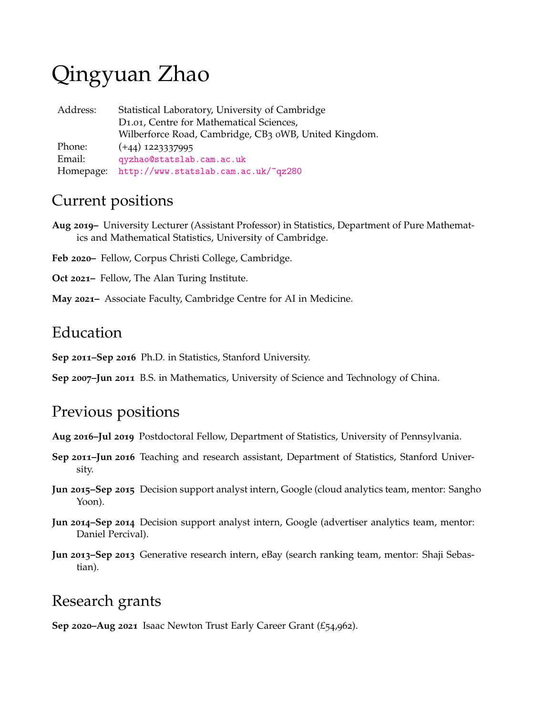# Qingyuan Zhao

| Address:  | Statistical Laboratory, University of Cambridge       |
|-----------|-------------------------------------------------------|
|           | D <sub>1.01</sub> , Centre for Mathematical Sciences, |
|           | Wilberforce Road, Cambridge, CB3 oWB, United Kingdom. |
| Phone:    | $(+44)$ 1223337995                                    |
| Email:    | qyzhao@statslab.cam.ac.uk                             |
| Homepage: | http://www.statslab.cam.ac.uk/~qz280                  |

## Current positions

- **Aug 2019–** University Lecturer (Assistant Professor) in Statistics, Department of Pure Mathematics and Mathematical Statistics, University of Cambridge.
- **Feb 2020–** Fellow, Corpus Christi College, Cambridge.
- **Oct 2021–** Fellow, The Alan Turing Institute.
- **May 2021–** Associate Faculty, Cambridge Centre for AI in Medicine.

## Education

**Sep 2011–Sep 2016** Ph.D. in Statistics, Stanford University.

**Sep 2007–Jun 2011** B.S. in Mathematics, University of Science and Technology of China.

## Previous positions

**Aug 2016–Jul 2019** Postdoctoral Fellow, Department of Statistics, University of Pennsylvania.

- **Sep 2011–Jun 2016** Teaching and research assistant, Department of Statistics, Stanford University.
- **Jun 2015–Sep 2015** Decision support analyst intern, Google (cloud analytics team, mentor: Sangho Yoon).
- **Jun 2014–Sep 2014** Decision support analyst intern, Google (advertiser analytics team, mentor: Daniel Percival).
- **Jun 2013–Sep 2013** Generative research intern, eBay (search ranking team, mentor: Shaji Sebastian).

## Research grants

**Sep 2020–Aug 2021** Isaac Newton Trust Early Career Grant (£54,962).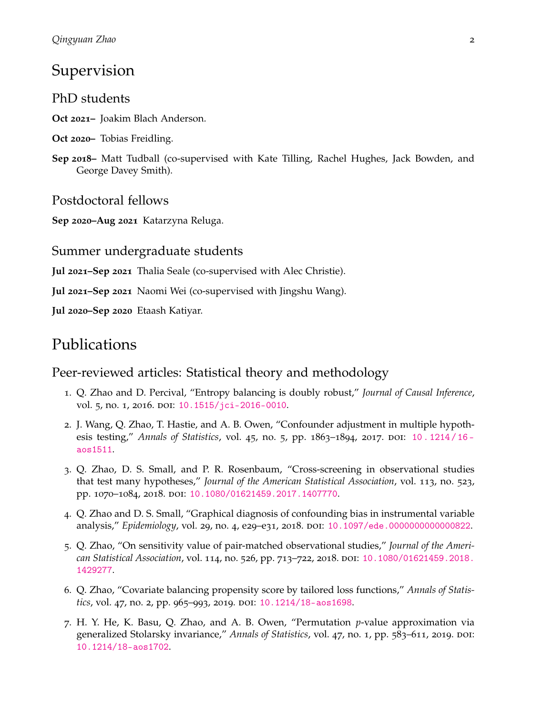## Supervision

PhD students

**Oct 2021–** Joakim Blach Anderson.

- **Oct 2020–** Tobias Freidling.
- **Sep 2018–** Matt Tudball (co-supervised with Kate Tilling, Rachel Hughes, Jack Bowden, and George Davey Smith).

Postdoctoral fellows

**Sep 2020–Aug 2021** Katarzyna Reluga.

#### Summer undergraduate students

**Jul 2021–Sep 2021** Thalia Seale (co-supervised with Alec Christie).

**Jul 2021–Sep 2021** Naomi Wei (co-supervised with Jingshu Wang).

**Jul 2020–Sep 2020** Etaash Katiyar.

## Publications

#### Peer-reviewed articles: Statistical theory and methodology

- 1. Q. Zhao and D. Percival, "Entropy balancing is doubly robust," *Journal of Causal Inference*, vol. 5, no. 1, 2016. doi: [10.1515/jci-2016-0010](https://doi.org/10.1515/jci-2016-0010).
- 2. J. Wang, Q. Zhao, T. Hastie, and A. B. Owen, "Confounder adjustment in multiple hypothesis testing," *Annals of Statistics*, vol. 45, no. 5, pp. 1863–1894, 2017. DOI: 10. 1214 / 16 [aos1511](https://doi.org/10.1214/16-aos1511).
- 3. Q. Zhao, D. S. Small, and P. R. Rosenbaum, "Cross-screening in observational studies that test many hypotheses," *Journal of the American Statistical Association*, vol. 113, no. 523, pp. 1070-1084, 2018. doi: [10.1080/01621459.2017.1407770](https://doi.org/10.1080/01621459.2017.1407770).
- 4. Q. Zhao and D. S. Small, "Graphical diagnosis of confounding bias in instrumental variable analysis," *Epidemiology*, vol. 29, no. 4, e29-e31, 2018. DOI: [10.1097/ede.0000000000000822](https://doi.org/10.1097/ede.0000000000000822).
- 5. Q. Zhao, "On sensitivity value of pair-matched observational studies," *Journal of the American Statistical Association*, vol. 114, no. 526, pp. 713–722, 2018. doi: [10.1080/01621459.2018.](https://doi.org/10.1080/01621459.2018.1429277) [1429277](https://doi.org/10.1080/01621459.2018.1429277).
- 6. Q. Zhao, "Covariate balancing propensity score by tailored loss functions," *Annals of Statistics*, vol. 47, no. 2, pp. 965–993, 2019. DOI: [10.1214/18-aos1698](https://doi.org/10.1214/18-aos1698).
- 7. H. Y. He, K. Basu, Q. Zhao, and A. B. Owen, "Permutation *p*-value approximation via generalized Stolarsky invariance," Annals of Statistics, vol. 47, no. 1, pp. 583-611, 2019. DOI: [10.1214/18-aos1702](https://doi.org/10.1214/18-aos1702).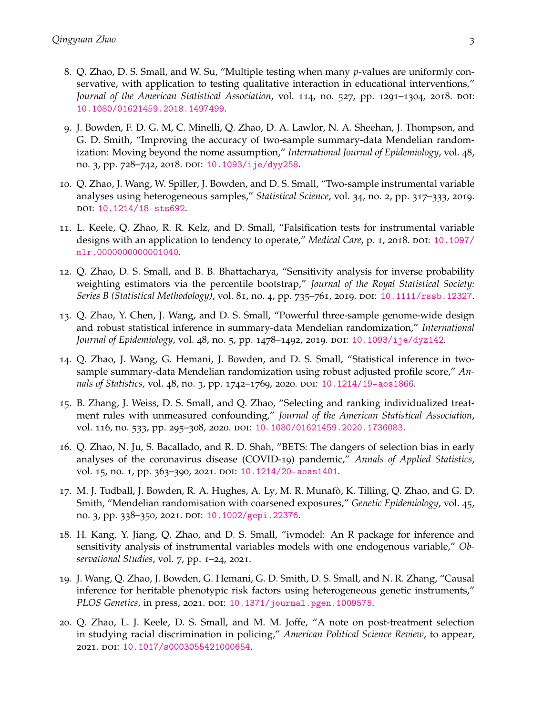- 8. Q. Zhao, D. S. Small, and W. Su, "Multiple testing when many *p*-values are uniformly conservative, with application to testing qualitative interaction in educational interventions," *Journal of the American Statistical Association*, vol. 114, no. 527, pp. 1291–1304, 2018. DOI: [10.1080/01621459.2018.1497499](https://doi.org/10.1080/01621459.2018.1497499).
- 9. J. Bowden, F. D. G. M, C. Minelli, Q. Zhao, D. A. Lawlor, N. A. Sheehan, J. Thompson, and G. D. Smith, "Improving the accuracy of two-sample summary-data Mendelian randomization: Moving beyond the nome assumption," *International Journal of Epidemiology*, vol. 48, no. 3, pp. 728-742, 2018. DOI: [10.1093/ije/dyy258](https://doi.org/10.1093/ije/dyy258).
- 10. Q. Zhao, J. Wang, W. Spiller, J. Bowden, and D. S. Small, "Two-sample instrumental variable analyses using heterogeneous samples," *Statistical Science*, vol. 34, no. 2, pp. 317–333, 2019. doi: [10.1214/18-sts692](https://doi.org/10.1214/18-sts692).
- 11. L. Keele, Q. Zhao, R. R. Kelz, and D. Small, "Falsification tests for instrumental variable designs with an application to tendency to operate," *Medical Care*, p. 1, 2018. poi: [10.1097/](https://doi.org/10.1097/mlr.0000000000001040) [mlr.0000000000001040](https://doi.org/10.1097/mlr.0000000000001040).
- 12. Q. Zhao, D. S. Small, and B. B. Bhattacharya, "Sensitivity analysis for inverse probability weighting estimators via the percentile bootstrap," *Journal of the Royal Statistical Society: Series B (Statistical Methodology)*, vol. 81, no. 4, pp. 735–761, 2019. doi: [10.1111/rssb.12327](https://doi.org/10.1111/rssb.12327).
- 13. Q. Zhao, Y. Chen, J. Wang, and D. S. Small, "Powerful three-sample genome-wide design and robust statistical inference in summary-data Mendelian randomization," *International Journal of Epidemiology*, vol. 48, no. 5, pp. 1478–1492, 2019. doi: [10.1093/ije/dyz142](https://doi.org/10.1093/ije/dyz142).
- 14. Q. Zhao, J. Wang, G. Hemani, J. Bowden, and D. S. Small, "Statistical inference in twosample summary-data Mendelian randomization using robust adjusted profile score," *Annals of Statistics*, vol. 48, no. 3, pp. 1742–1769, 2020. doi: [10.1214/19-aos1866](https://doi.org/10.1214/19-aos1866).
- 15. B. Zhang, J. Weiss, D. S. Small, and Q. Zhao, "Selecting and ranking individualized treatment rules with unmeasured confounding," *Journal of the American Statistical Association*, vol. 116, no. 533, pp. 295-308, 2020. DOI: [10.1080/01621459.2020.1736083](https://doi.org/10.1080/01621459.2020.1736083).
- 16. Q. Zhao, N. Ju, S. Bacallado, and R. D. Shah, "BETS: The dangers of selection bias in early analyses of the coronavirus disease (COVID-19) pandemic," *Annals of Applied Statistics*, vol. 15, no. 1, pp. 363-390, 2021. DOI: [10.1214/20-aoas1401](https://doi.org/10.1214/20-aoas1401).
- 17. M. J. Tudball, J. Bowden, R. A. Hughes, A. Ly, M. R. Munafò, K. Tilling, Q. Zhao, and G. D. Smith, "Mendelian randomisation with coarsened exposures," *Genetic Epidemiology*, vol. 45, no. 3, pp. 338-350, 2021. DOI: [10.1002/gepi.22376](https://doi.org/10.1002/gepi.22376).
- 18. H. Kang, Y. Jiang, Q. Zhao, and D. S. Small, "ivmodel: An R package for inference and sensitivity analysis of instrumental variables models with one endogenous variable," *Observational Studies*, vol. 7, pp. 1–24, 2021.
- 19. J. Wang, Q. Zhao, J. Bowden, G. Hemani, G. D. Smith, D. S. Small, and N. R. Zhang, "Causal inference for heritable phenotypic risk factors using heterogeneous genetic instruments," *PLOS Genetics*, in press, 2021. DOI: [10.1371/journal.pgen.1009575](https://doi.org/10.1371/journal.pgen.1009575).
- 20. Q. Zhao, L. J. Keele, D. S. Small, and M. M. Joffe, "A note on post-treatment selection in studying racial discrimination in policing," *American Political Science Review*, to appear, 2021. doi: [10.1017/s0003055421000654](https://doi.org/10.1017/s0003055421000654).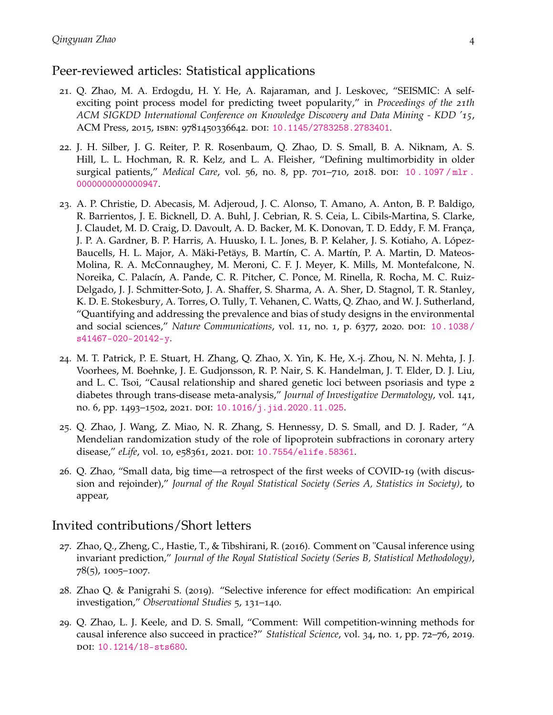#### Peer-reviewed articles: Statistical applications

- 21. Q. Zhao, M. A. Erdogdu, H. Y. He, A. Rajaraman, and J. Leskovec, "SEISMIC: A selfexciting point process model for predicting tweet popularity," in *Proceedings of the 21th ACM SIGKDD International Conference on Knowledge Discovery and Data Mining - KDD '15*, ACM Press, 2015, isbn: 9781450336642. doi: [10.1145/2783258.2783401](https://doi.org/10.1145/2783258.2783401).
- 22. J. H. Silber, J. G. Reiter, P. R. Rosenbaum, Q. Zhao, D. S. Small, B. A. Niknam, A. S. Hill, L. L. Hochman, R. R. Kelz, and L. A. Fleisher, "Defining multimorbidity in older surgical patients," *Medical Care*, vol. 56, no. 8, pp. 701–710, 2018. DOI: [10 . 1097 / mlr .](https://doi.org/10.1097/mlr.0000000000000947) [0000000000000947](https://doi.org/10.1097/mlr.0000000000000947).
- 23. A. P. Christie, D. Abecasis, M. Adjeroud, J. C. Alonso, T. Amano, A. Anton, B. P. Baldigo, R. Barrientos, J. E. Bicknell, D. A. Buhl, J. Cebrian, R. S. Ceia, L. Cibils-Martina, S. Clarke, J. Claudet, M. D. Craig, D. Davoult, A. D. Backer, M. K. Donovan, T. D. Eddy, F. M. França, J. P. A. Gardner, B. P. Harris, A. Huusko, I. L. Jones, B. P. Kelaher, J. S. Kotiaho, A. López-Baucells, H. L. Major, A. Mäki-Petäys, B. Martín, C. A. Martín, P. A. Martin, D. Mateos-Molina, R. A. McConnaughey, M. Meroni, C. F. J. Meyer, K. Mills, M. Montefalcone, N. Noreika, C. Palacín, A. Pande, C. R. Pitcher, C. Ponce, M. Rinella, R. Rocha, M. C. Ruiz-Delgado, J. J. Schmitter-Soto, J. A. Shaffer, S. Sharma, A. A. Sher, D. Stagnol, T. R. Stanley, K. D. E. Stokesbury, A. Torres, O. Tully, T. Vehanen, C. Watts, Q. Zhao, and W. J. Sutherland, "Quantifying and addressing the prevalence and bias of study designs in the environmental and social sciences," *Nature Communications*, vol. 11, no. 1, p. 6377, 2020. doi: [10.1038/](https://doi.org/10.1038/s41467-020-20142-y) [s41467-020-20142-y](https://doi.org/10.1038/s41467-020-20142-y).
- 24. M. T. Patrick, P. E. Stuart, H. Zhang, Q. Zhao, X. Yin, K. He, X.-j. Zhou, N. N. Mehta, J. J. Voorhees, M. Boehnke, J. E. Gudjonsson, R. P. Nair, S. K. Handelman, J. T. Elder, D. J. Liu, and L. C. Tsoi, "Causal relationship and shared genetic loci between psoriasis and type 2 diabetes through trans-disease meta-analysis," *Journal of Investigative Dermatology*, vol. 141, no. 6, pp. 1493-1502, 2021. DOI: [10.1016/j.jid.2020.11.025](https://doi.org/10.1016/j.jid.2020.11.025).
- 25. Q. Zhao, J. Wang, Z. Miao, N. R. Zhang, S. Hennessy, D. S. Small, and D. J. Rader, "A Mendelian randomization study of the role of lipoprotein subfractions in coronary artery disease," *eLife*, vol. 10, e58361, 2021. DOI: [10.7554/elife.58361](https://doi.org/10.7554/elife.58361).
- 26. Q. Zhao, "Small data, big time—a retrospect of the first weeks of COVID-19 (with discussion and rejoinder)," *Journal of the Royal Statistical Society (Series A, Statistics in Society)*, to appear,

#### Invited contributions/Short letters

- 27. Zhao, Q., Zheng, C., Hastie, T., & Tibshirani, R. (2016). Comment on "Causal inference using invariant prediction," *Journal of the Royal Statistical Society (Series B, Statistical Methodology)*, 78(5), 1005–1007.
- 28. Zhao Q. & Panigrahi S. (2019). "Selective inference for effect modification: An empirical investigation," *Observational Studies* 5, 131–140.
- 29. Q. Zhao, L. J. Keele, and D. S. Small, "Comment: Will competition-winning methods for causal inference also succeed in practice?" *Statistical Science*, vol. 34, no. 1, pp. 72–76, 2019. doi: [10.1214/18-sts680](https://doi.org/10.1214/18-sts680).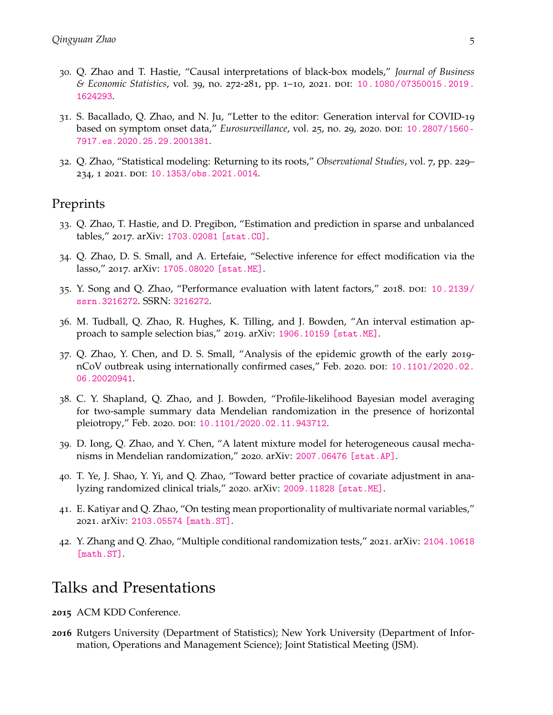- 30. Q. Zhao and T. Hastie, "Causal interpretations of black-box models," *Journal of Business & Economic Statistics*, vol. 39, no. 272-281, pp. 1–10, 2021. doi: [10.1080/07350015.2019.](https://doi.org/10.1080/07350015.2019.1624293) [1624293](https://doi.org/10.1080/07350015.2019.1624293).
- 31. S. Bacallado, Q. Zhao, and N. Ju, "Letter to the editor: Generation interval for COVID-19 based on symptom onset data," *Eurosurveillance*, vol. 25, no. 29, 2020. DOI: [10.2807/1560-](https://doi.org/10.2807/1560-7917.es.2020.25.29.2001381) [7917.es.2020.25.29.2001381](https://doi.org/10.2807/1560-7917.es.2020.25.29.2001381).
- 32. Q. Zhao, "Statistical modeling: Returning to its roots," *Observational Studies*, vol. 7, pp. 229– 234, 1 2021. DOI: [10.1353/obs.2021.0014](https://doi.org/10.1353/obs.2021.0014).

#### **Preprints**

- 33. Q. Zhao, T. Hastie, and D. Pregibon, "Estimation and prediction in sparse and unbalanced tables," 2017. arXiv: [1703.02081 \[stat.CO\]](https://arxiv.org/abs/1703.02081).
- 34. Q. Zhao, D. S. Small, and A. Ertefaie, "Selective inference for effect modification via the lasso," 2017. arXiv: [1705.08020 \[stat.ME\]](https://arxiv.org/abs/1705.08020).
- 35. Y. Song and Q. Zhao, "Performance evaluation with latent factors," 2018. doi: [10.2139/](https://doi.org/10.2139/ssrn.3216272) [ssrn.3216272](https://doi.org/10.2139/ssrn.3216272). SSRN: <3216272>.
- 36. M. Tudball, Q. Zhao, R. Hughes, K. Tilling, and J. Bowden, "An interval estimation approach to sample selection bias," 2019. arXiv: [1906.10159 \[stat.ME\]](https://arxiv.org/abs/1906.10159).
- 37. Q. Zhao, Y. Chen, and D. S. Small, "Analysis of the epidemic growth of the early 2019- nCoV outbreak using internationally confirmed cases," Feb. 2020. DOI: [10.1101/2020.02.](https://doi.org/10.1101/2020.02.06.20020941) [06.20020941](https://doi.org/10.1101/2020.02.06.20020941).
- 38. C. Y. Shapland, Q. Zhao, and J. Bowden, "Profile-likelihood Bayesian model averaging for two-sample summary data Mendelian randomization in the presence of horizontal pleiotropy," Feb. 2020. poi: [10.1101/2020.02.11.943712](https://doi.org/10.1101/2020.02.11.943712).
- 39. D. Iong, Q. Zhao, and Y. Chen, "A latent mixture model for heterogeneous causal mechanisms in Mendelian randomization," 2020. arXiv: [2007.06476 \[stat.AP\]](https://arxiv.org/abs/2007.06476).
- 40. T. Ye, J. Shao, Y. Yi, and Q. Zhao, "Toward better practice of covariate adjustment in analyzing randomized clinical trials," 2020. arXiv: [2009.11828 \[stat.ME\]](https://arxiv.org/abs/2009.11828).
- 41. E. Katiyar and Q. Zhao, "On testing mean proportionality of multivariate normal variables," 2021. arXiv: [2103.05574 \[math.ST\]](https://arxiv.org/abs/2103.05574).
- 42. Y. Zhang and Q. Zhao, "Multiple conditional randomization tests," 2021. arXiv: [2104.10618](https://arxiv.org/abs/2104.10618) [\[math.ST\]](https://arxiv.org/abs/2104.10618)

## Talks and Presentations

- **2015** ACM KDD Conference.
- **2016** Rutgers University (Department of Statistics); New York University (Department of Information, Operations and Management Science); Joint Statistical Meeting (JSM).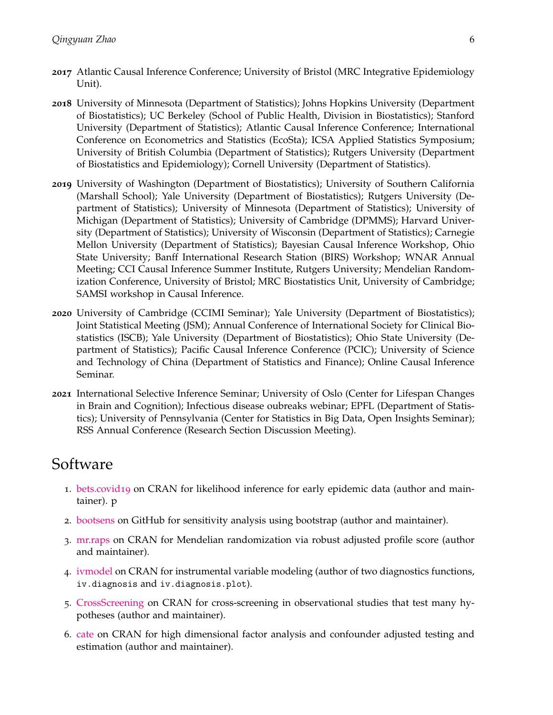- **2017** Atlantic Causal Inference Conference; University of Bristol (MRC Integrative Epidemiology Unit).
- **2018** University of Minnesota (Department of Statistics); Johns Hopkins University (Department of Biostatistics); UC Berkeley (School of Public Health, Division in Biostatistics); Stanford University (Department of Statistics); Atlantic Causal Inference Conference; International Conference on Econometrics and Statistics (EcoSta); ICSA Applied Statistics Symposium; University of British Columbia (Department of Statistics); Rutgers University (Department of Biostatistics and Epidemiology); Cornell University (Department of Statistics).
- **2019** University of Washington (Department of Biostatistics); University of Southern California (Marshall School); Yale University (Department of Biostatistics); Rutgers University (Department of Statistics); University of Minnesota (Department of Statistics); University of Michigan (Department of Statistics); University of Cambridge (DPMMS); Harvard University (Department of Statistics); University of Wisconsin (Department of Statistics); Carnegie Mellon University (Department of Statistics); Bayesian Causal Inference Workshop, Ohio State University; Banff International Research Station (BIRS) Workshop; WNAR Annual Meeting; CCI Causal Inference Summer Institute, Rutgers University; Mendelian Randomization Conference, University of Bristol; MRC Biostatistics Unit, University of Cambridge; SAMSI workshop in Causal Inference.
- **2020** University of Cambridge (CCIMI Seminar); Yale University (Department of Biostatistics); Joint Statistical Meeting (JSM); Annual Conference of International Society for Clinical Biostatistics (ISCB); Yale University (Department of Biostatistics); Ohio State University (Department of Statistics); Pacific Causal Inference Conference (PCIC); University of Science and Technology of China (Department of Statistics and Finance); Online Causal Inference Seminar.
- **2021** International Selective Inference Seminar; University of Oslo (Center for Lifespan Changes in Brain and Cognition); Infectious disease oubreaks webinar; EPFL (Department of Statistics); University of Pennsylvania (Center for Statistics in Big Data, Open Insights Seminar); RSS Annual Conference (Research Section Discussion Meeting).

# Software

- 1. [bets.covid](https://cran.r-project.org/web/packages/bets.covid19/index.html)19 on CRAN for likelihood inference for early epidemic data (author and maintainer). p
- 2. [bootsens](https://github.com/qingyuanzhao/bootsens) on GitHub for sensitivity analysis using bootstrap (author and maintainer).
- 3. [mr.raps](https://cran.r-project.org/web/packages/mr.raps/index.html) on CRAN for Mendelian randomization via robust adjusted profile score (author and maintainer).
- 4. [ivmodel](https://cran.r-project.org/web/packages/ivmodel/index.html) on CRAN for instrumental variable modeling (author of two diagnostics functions, iv.diagnosis and iv.diagnosis.plot).
- 5. [CrossScreening](https://cran.r-project.org/web/packages/CrossScreening/index.html) on CRAN for cross-screening in observational studies that test many hypotheses (author and maintainer).
- 6. [cate](https://cran.r-project.org/web/packages/cate/index.html) on CRAN for high dimensional factor analysis and confounder adjusted testing and estimation (author and maintainer).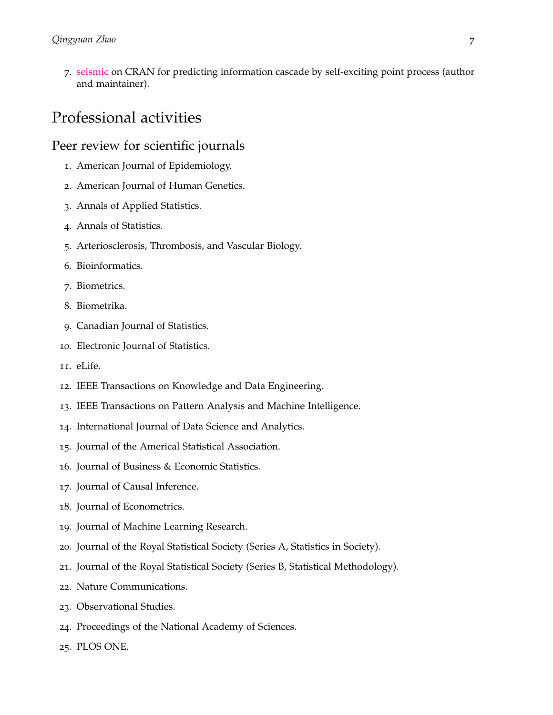. [seismic](https://cran.r-project.org/web/packages/seismic/index.html) on CRAN for predicting information cascade by self-exciting point process (author and maintainer).

## Professional activities

#### Peer review for scientific journals

- . American Journal of Epidemiology.
- . American Journal of Human Genetics.
- . Annals of Applied Statistics.
- . Annals of Statistics.
- . Arteriosclerosis, Thrombosis, and Vascular Biology.
- . Bioinformatics.
- . Biometrics.
- . Biometrika.
- . Canadian Journal of Statistics.
- . Electronic Journal of Statistics.
- . eLife.
- . IEEE Transactions on Knowledge and Data Engineering.
- . IEEE Transactions on Pattern Analysis and Machine Intelligence.
- . International Journal of Data Science and Analytics.
- . Journal of the Americal Statistical Association.
- . Journal of Business & Economic Statistics.
- . Journal of Causal Inference.
- . Journal of Econometrics.
- . Journal of Machine Learning Research.
- . Journal of the Royal Statistical Society (Series A, Statistics in Society).
- . Journal of the Royal Statistical Society (Series B, Statistical Methodology).
- . Nature Communications.
- . Observational Studies.
- . Proceedings of the National Academy of Sciences.
- . PLOS ONE.